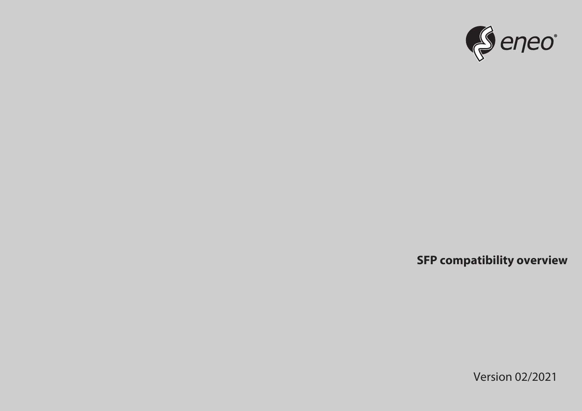

**SFP compatibility overview**

Version 02/2021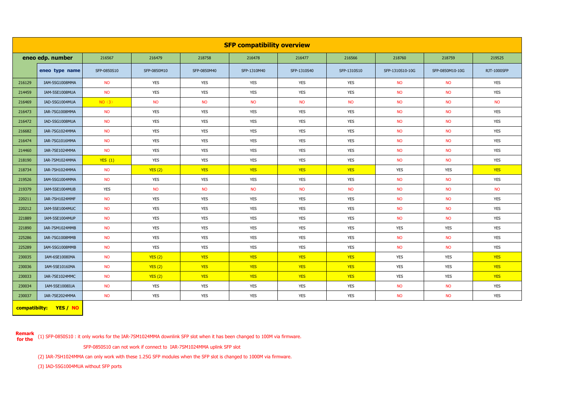| <b>SFP compatibility overview</b> |                |             |             |             |             |             |             |                 |                 |                    |
|-----------------------------------|----------------|-------------|-------------|-------------|-------------|-------------|-------------|-----------------|-----------------|--------------------|
| eneo edp. number                  |                | 216567      | 216479      | 218758      | 216478      | 216477      | 216566      | 218760          | 218759          | 219525             |
|                                   | eneo type name | SFP-0850S10 | SFP-0850M10 | SFP-0850M40 | SFP-1310M40 | SFP-1310S40 | SFP-1310S10 | SFP-1310S10-10G | SFP-0850M10-10G | <b>RJT-1000SFP</b> |
| 216129                            | IAM-5SG1008MMA | <b>NO</b>   | <b>YES</b>  | <b>YES</b>  | <b>YES</b>  | <b>YES</b>  | <b>YES</b>  | <b>NO</b>       | <b>NO</b>       | <b>YES</b>         |
| 214459                            | IAM-5SE1008MUA | <b>NO</b>   | <b>YES</b>  | <b>YES</b>  | <b>YES</b>  | <b>YES</b>  | <b>YES</b>  | <b>NO</b>       | <b>NO</b>       | <b>YES</b>         |
| 216469                            | IAD-5SG1004MUA | NO(3)       | <b>NO</b>   | <b>NO</b>   | <b>NO</b>   | <b>NO</b>   | <b>NO</b>   | <b>NO</b>       | <b>NO</b>       | <b>NO</b>          |
| 216473                            | IAR-7SG1008MMA | <b>NO</b>   | <b>YES</b>  | <b>YES</b>  | <b>YES</b>  | <b>YES</b>  | <b>YES</b>  | <b>NO</b>       | <b>NO</b>       | <b>YES</b>         |
| 216472                            | IAD-5SG1008MUA | <b>NO</b>   | <b>YES</b>  | <b>YES</b>  | <b>YES</b>  | <b>YES</b>  | <b>YES</b>  | <b>NO</b>       | <b>NO</b>       | <b>YES</b>         |
| 216682                            | IAR-7SG1024MMA | <b>NO</b>   | <b>YES</b>  | <b>YES</b>  | <b>YES</b>  | <b>YES</b>  | <b>YES</b>  | <b>NO</b>       | <b>NO</b>       | <b>YES</b>         |
| 216474                            | IAR-7SG1016MMA | <b>NO</b>   | <b>YES</b>  | <b>YES</b>  | <b>YES</b>  | <b>YES</b>  | <b>YES</b>  | <b>NO</b>       | <b>NO</b>       | <b>YES</b>         |
| 214460                            | IAR-7SE1024MMA | <b>NO</b>   | <b>YES</b>  | <b>YES</b>  | <b>YES</b>  | <b>YES</b>  | YES         | <b>NO</b>       | <b>NO</b>       | <b>YES</b>         |
| 218190                            | IAR-7SM1024MMA | YES(1)      | <b>YES</b>  | <b>YES</b>  | <b>YES</b>  | <b>YES</b>  | <b>YES</b>  | <b>NO</b>       | <b>NO</b>       | <b>YES</b>         |
| 218734                            | IAR-7SH1024MMA | <b>NO</b>   | YES(2)      | <b>YES</b>  | <b>YES</b>  | <b>YES</b>  | <b>YES</b>  | <b>YES</b>      | <b>YES</b>      | <b>YES</b>         |
| 219526                            | IAM-5SG1004MMA | <b>NO</b>   | <b>YES</b>  | <b>YES</b>  | <b>YES</b>  | <b>YES</b>  | <b>YES</b>  | <b>NO</b>       | <b>NO</b>       | <b>YES</b>         |
| 219379                            | IAM-5SE1004MUB | <b>YES</b>  | <b>NO</b>   | <b>NO</b>   | <b>NO</b>   | <b>NO</b>   | <b>NO</b>   | <b>NO</b>       | <b>NO</b>       | <b>NO</b>          |
| 220211                            | IAR-7SH1024MMF | <b>NO</b>   | <b>YES</b>  | <b>YES</b>  | <b>YES</b>  | <b>YES</b>  | <b>YES</b>  | <b>NO</b>       | <b>NO</b>       | <b>YES</b>         |
| 220212                            | IAM-5SE1004MUC | <b>NO</b>   | <b>YES</b>  | <b>YES</b>  | <b>YES</b>  | <b>YES</b>  | <b>YES</b>  | <b>NO</b>       | <b>NO</b>       | <b>YES</b>         |
| 221889                            | IAM-5SE1004MUP | <b>NO</b>   | <b>YES</b>  | <b>YES</b>  | <b>YES</b>  | <b>YES</b>  | <b>YES</b>  | <b>NO</b>       | <b>NO</b>       | <b>YES</b>         |
| 221890                            | IAR-7SM1024MMB | <b>NO</b>   | <b>YES</b>  | <b>YES</b>  | <b>YES</b>  | <b>YES</b>  | <b>YES</b>  | <b>YES</b>      | <b>YES</b>      | <b>YES</b>         |
| 225286                            | IAR-7SG1008MMB | <b>NO</b>   | <b>YES</b>  | <b>YES</b>  | <b>YES</b>  | <b>YES</b>  | <b>YES</b>  | <b>NO</b>       | <b>NO</b>       | <b>YES</b>         |
| 225289                            | IAM-5SG1008MMB | <b>NO</b>   | <b>YES</b>  | <b>YES</b>  | <b>YES</b>  | <b>YES</b>  | <b>YES</b>  | <b>NO</b>       | <b>NO</b>       | <b>YES</b>         |
| 230035                            | IAM-6SE1008IMA | <b>NO</b>   | YES(2)      | <b>YES</b>  | <b>YES</b>  | <b>YES</b>  | <b>YES</b>  | YES             | <b>YES</b>      | <b>YES</b>         |
| 230036                            | IAM-5SE1016IMA | <b>NO</b>   | YES(2)      | <b>YES</b>  | <b>YES</b>  | <b>YES</b>  | <b>YES</b>  | <b>YES</b>      | <b>YES</b>      | <b>YES</b>         |
| 230033                            | IAR-7SE1024MMC | <b>NO</b>   | YES(2)      | <b>YES</b>  | <b>YES</b>  | <b>YES</b>  | <b>YES</b>  | <b>YES</b>      | <b>YES</b>      | <b>YES</b>         |
| 230034                            | IAM-5SE1008IUA | <b>NO</b>   | YES         | <b>YES</b>  | <b>YES</b>  | <b>YES</b>  | <b>YES</b>  | <b>NO</b>       | <b>NO</b>       | <b>YES</b>         |
| 230037                            | IAR-7SE2024MMA | <b>NO</b>   | <b>YES</b>  | <b>YES</b>  | <b>YES</b>  | <b>YES</b>  | <b>YES</b>  | <b>NO</b>       | <b>NO</b>       | <b>YES</b>         |

**compatibilty: YES / NO**

**Remark for the** (1) SFP-0850S10 : it only works for the IAR-7SM1024MMA downlink SFP slot when it has been changed to 100M via firmware.

SFP-0850S10 can not work if connect to IAR-7SM1024MMA uplink SFP slot

(2) IAR-7SH1024MMA can only work with these 1.25G SFP modules when the SFP slot is changed to 1000M via firmware.

(3) IAD-5SG1004MUA without SFP ports